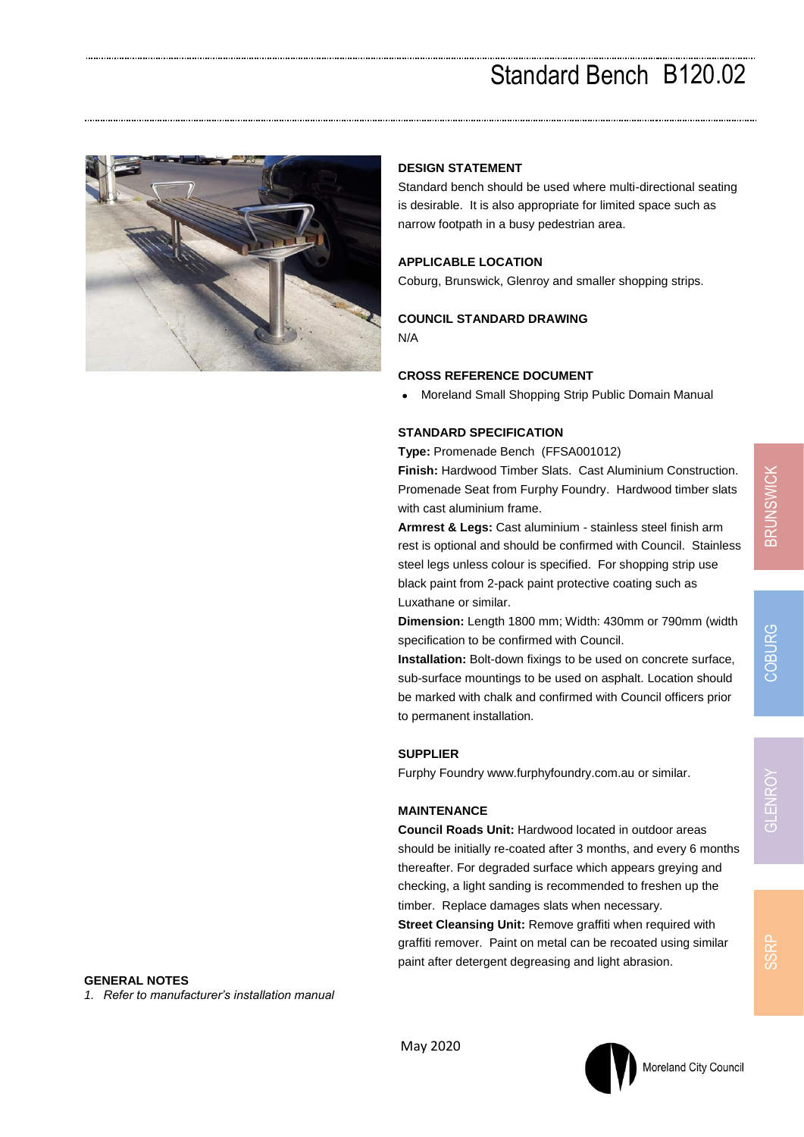# Standard Bench B120.02



# **DESIGN STATEMENT**

Standard bench should be used where multi-directional seating is desirable. It is also appropriate for limited space such as narrow footpath in a busy pedestrian area.

# **APPLICABLE LOCATION**

Coburg, Brunswick, Glenroy and smaller shopping strips.

## **COUNCIL STANDARD DRAWING**

N/A

#### **CROSS REFERENCE DOCUMENT**

• Moreland Small Shopping Strip Public Domain Manual

#### **STANDARD SPECIFICATION**

**Type:** Promenade Bench (FFSA001012)

**Finish:** Hardwood Timber Slats. Cast Aluminium Construction. Promenade Seat from Furphy Foundry. Hardwood timber slats with cast aluminium frame.

**Armrest & Legs:** Cast aluminium - stainless steel finish arm rest is optional and should be confirmed with Council. Stainless steel legs unless colour is specified. For shopping strip use black paint from 2-pack paint protective coating such as Luxathane or similar.

**Dimension:** Length 1800 mm; Width: 430mm or 790mm (width specification to be confirmed with Council.

**Installation:** Bolt-down fixings to be used on concrete surface, sub-surface mountings to be used on asphalt. Location should be marked with chalk and confirmed with Council officers prior to permanent installation.

## **SUPPLIER**

Furphy Foundry www.furphyfoundry.com.au or similar.

#### **MAINTENANCE**

**Council Roads Unit:** Hardwood located in outdoor areas should be initially re-coated after 3 months, and every 6 months thereafter. For degraded surface which appears greying and checking, a light sanding is recommended to freshen up the timber. Replace damages slats when necessary.

**Street Cleansing Unit:** Remove graffiti when required with graffiti remover. Paint on metal can be recoated using similar paint after detergent degreasing and light abrasion.

**GENERAL NOTES** *1. Refer to manufacturer's installation manual*